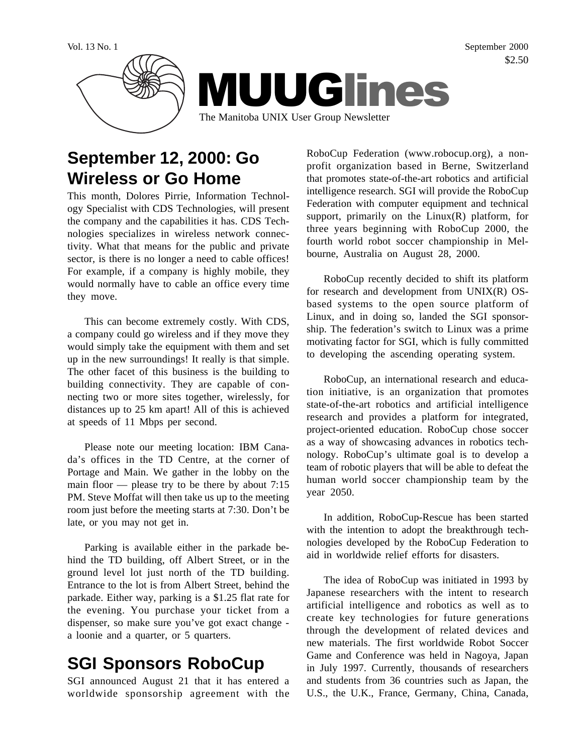Vol. 13 No. 1 September 2000 \$2.50



# **September 12, 2000: Go Wireless or Go Home**

This month, Dolores Pirrie, Information Technology Specialist with CDS Technologies, will present the company and the capabilities it has. CDS Technologies specializes in wireless network connectivity. What that means for the public and private sector, is there is no longer a need to cable offices! For example, if a company is highly mobile, they would normally have to cable an office every time they move.

This can become extremely costly. With CDS, a company could go wireless and if they move they would simply take the equipment with them and set up in the new surroundings! It really is that simple. The other facet of this business is the building to building connectivity. They are capable of connecting two or more sites together, wirelessly, for distances up to 25 km apart! All of this is achieved at speeds of 11 Mbps per second.

Please note our meeting location: IBM Canada's offices in the TD Centre, at the corner of Portage and Main. We gather in the lobby on the main floor — please try to be there by about 7:15 PM. Steve Moffat will then take us up to the meeting room just before the meeting starts at 7:30. Don't be late, or you may not get in.

Parking is available either in the parkade behind the TD building, off Albert Street, or in the ground level lot just north of the TD building. Entrance to the lot is from Albert Street, behind the parkade. Either way, parking is a \$1.25 flat rate for the evening. You purchase your ticket from a dispenser, so make sure you've got exact change a loonie and a quarter, or 5 quarters.

# **SGI Sponsors RoboCup**

SGI announced August 21 that it has entered a worldwide sponsorship agreement with the

RoboCup Federation (www.robocup.org), a nonprofit organization based in Berne, Switzerland that promotes state-of-the-art robotics and artificial intelligence research. SGI will provide the RoboCup Federation with computer equipment and technical support, primarily on the  $Linux(R)$  platform, for three years beginning with RoboCup 2000, the fourth world robot soccer championship in Melbourne, Australia on August 28, 2000.

RoboCup recently decided to shift its platform for research and development from UNIX(R) OSbased systems to the open source platform of Linux, and in doing so, landed the SGI sponsorship. The federation's switch to Linux was a prime motivating factor for SGI, which is fully committed to developing the ascending operating system.

RoboCup, an international research and education initiative, is an organization that promotes state-of-the-art robotics and artificial intelligence research and provides a platform for integrated, project-oriented education. RoboCup chose soccer as a way of showcasing advances in robotics technology. RoboCup's ultimate goal is to develop a team of robotic players that will be able to defeat the human world soccer championship team by the year 2050.

In addition, RoboCup-Rescue has been started with the intention to adopt the breakthrough technologies developed by the RoboCup Federation to aid in worldwide relief efforts for disasters.

The idea of RoboCup was initiated in 1993 by Japanese researchers with the intent to research artificial intelligence and robotics as well as to create key technologies for future generations through the development of related devices and new materials. The first worldwide Robot Soccer Game and Conference was held in Nagoya, Japan in July 1997. Currently, thousands of researchers and students from 36 countries such as Japan, the U.S., the U.K., France, Germany, China, Canada,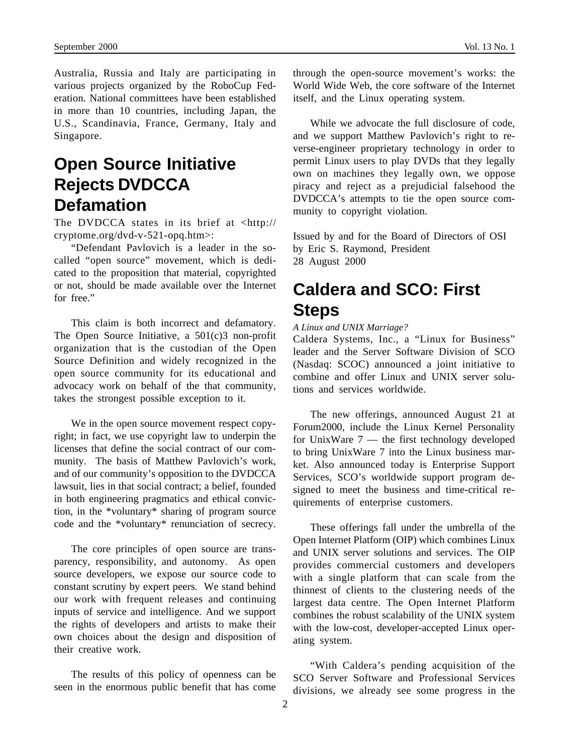Australia, Russia and Italy are participating in various projects organized by the RoboCup Federation. National committees have been established in more than 10 countries, including Japan, the U.S., Scandinavia, France, Germany, Italy and Singapore.

## **Open Source Initiative Rejects DVDCCA Defamation**

The DVDCCA states in its brief at <http:// cryptome.org/dvd-v-521-opq.htm>:

"Defendant Pavlovich is a leader in the socalled "open source" movement, which is dedicated to the proposition that material, copyrighted or not, should be made available over the Internet for free."

This claim is both incorrect and defamatory. The Open Source Initiative, a 501(c)3 non-profit organization that is the custodian of the Open Source Definition and widely recognized in the open source community for its educational and advocacy work on behalf of the that community, takes the strongest possible exception to it.

We in the open source movement respect copyright; in fact, we use copyright law to underpin the licenses that define the social contract of our community. The basis of Matthew Pavlovich's work, and of our community's opposition to the DVDCCA lawsuit, lies in that social contract; a belief, founded in both engineering pragmatics and ethical conviction, in the \*voluntary\* sharing of program source code and the \*voluntary\* renunciation of secrecy.

The core principles of open source are transparency, responsibility, and autonomy. As open source developers, we expose our source code to constant scrutiny by expert peers. We stand behind our work with frequent releases and continuing inputs of service and intelligence. And we support the rights of developers and artists to make their own choices about the design and disposition of their creative work.

The results of this policy of openness can be seen in the enormous public benefit that has come

through the open-source movement's works: the World Wide Web, the core software of the Internet itself, and the Linux operating system.

While we advocate the full disclosure of code, and we support Matthew Pavlovich's right to reverse-engineer proprietary technology in order to permit Linux users to play DVDs that they legally own on machines they legally own, we oppose piracy and reject as a prejudicial falsehood the DVDCCA's attempts to tie the open source community to copyright violation.

Issued by and for the Board of Directors of OSI by Eric S. Raymond, President 28 August 2000

### **Caldera and SCO: First Steps**

#### *A Linux and UNIX Marriage?*

Caldera Systems, Inc., a "Linux for Business" leader and the Server Software Division of SCO (Nasdaq: SCOC) announced a joint initiative to combine and offer Linux and UNIX server solutions and services worldwide.

The new offerings, announced August 21 at Forum2000, include the Linux Kernel Personality for UnixWare 7 — the first technology developed to bring UnixWare 7 into the Linux business market. Also announced today is Enterprise Support Services, SCO's worldwide support program designed to meet the business and time-critical requirements of enterprise customers.

These offerings fall under the umbrella of the Open Internet Platform (OIP) which combines Linux and UNIX server solutions and services. The OIP provides commercial customers and developers with a single platform that can scale from the thinnest of clients to the clustering needs of the largest data centre. The Open Internet Platform combines the robust scalability of the UNIX system with the low-cost, developer-accepted Linux operating system.

"With Caldera's pending acquisition of the SCO Server Software and Professional Services divisions, we already see some progress in the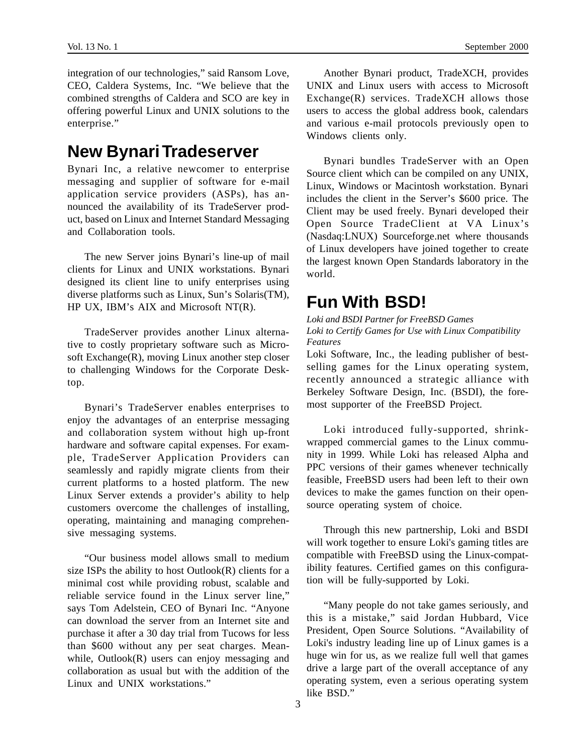integration of our technologies," said Ransom Love, CEO, Caldera Systems, Inc. "We believe that the combined strengths of Caldera and SCO are key in offering powerful Linux and UNIX solutions to the enterprise."

### **New Bynari Tradeserver**

Bynari Inc, a relative newcomer to enterprise messaging and supplier of software for e-mail application service providers (ASPs), has announced the availability of its TradeServer product, based on Linux and Internet Standard Messaging and Collaboration tools.

The new Server joins Bynari's line-up of mail clients for Linux and UNIX workstations. Bynari designed its client line to unify enterprises using diverse platforms such as Linux, Sun's Solaris(TM), HP UX, IBM's AIX and Microsoft NT(R).

TradeServer provides another Linux alternative to costly proprietary software such as Microsoft Exchange(R), moving Linux another step closer to challenging Windows for the Corporate Desktop.

Bynari's TradeServer enables enterprises to enjoy the advantages of an enterprise messaging and collaboration system without high up-front hardware and software capital expenses. For example, TradeServer Application Providers can seamlessly and rapidly migrate clients from their current platforms to a hosted platform. The new Linux Server extends a provider's ability to help customers overcome the challenges of installing, operating, maintaining and managing comprehensive messaging systems.

"Our business model allows small to medium size ISPs the ability to host  $Outlook(R)$  clients for a minimal cost while providing robust, scalable and reliable service found in the Linux server line," says Tom Adelstein, CEO of Bynari Inc. "Anyone can download the server from an Internet site and purchase it after a 30 day trial from Tucows for less than \$600 without any per seat charges. Meanwhile, Outlook(R) users can enjoy messaging and collaboration as usual but with the addition of the Linux and UNIX workstations."

Another Bynari product, TradeXCH, provides UNIX and Linux users with access to Microsoft Exchange(R) services. TradeXCH allows those users to access the global address book, calendars and various e-mail protocols previously open to Windows clients only.

Bynari bundles TradeServer with an Open Source client which can be compiled on any UNIX, Linux, Windows or Macintosh workstation. Bynari includes the client in the Server's \$600 price. The Client may be used freely. Bynari developed their Open Source TradeClient at VA Linux's (Nasdaq:LNUX) Sourceforge.net where thousands of Linux developers have joined together to create the largest known Open Standards laboratory in the world.

## **Fun With BSD!**

*Loki and BSDI Partner for FreeBSD Games Loki to Certify Games for Use with Linux Compatibility Features*

Loki Software, Inc., the leading publisher of bestselling games for the Linux operating system, recently announced a strategic alliance with Berkeley Software Design, Inc. (BSDI), the foremost supporter of the FreeBSD Project.

Loki introduced fully-supported, shrinkwrapped commercial games to the Linux community in 1999. While Loki has released Alpha and PPC versions of their games whenever technically feasible, FreeBSD users had been left to their own devices to make the games function on their opensource operating system of choice.

Through this new partnership, Loki and BSDI will work together to ensure Loki's gaming titles are compatible with FreeBSD using the Linux-compatibility features. Certified games on this configuration will be fully-supported by Loki.

"Many people do not take games seriously, and this is a mistake," said Jordan Hubbard, Vice President, Open Source Solutions. "Availability of Loki's industry leading line up of Linux games is a huge win for us, as we realize full well that games drive a large part of the overall acceptance of any operating system, even a serious operating system like BSD<sup>"</sup>